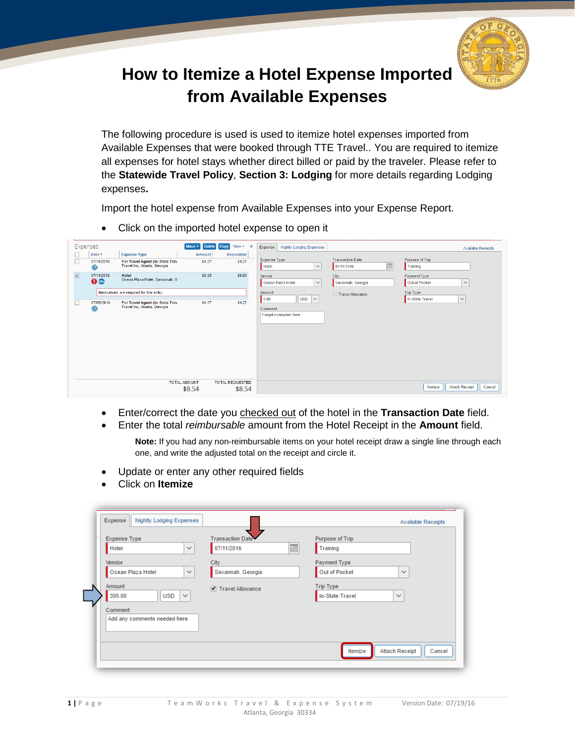

## **How to Itemize a Hotel Expense Imported from Available Expenses**

The following procedure is used is used to itemize hotel expenses imported from Available Expenses that were booked through TTE Travel.. You are required to itemize all expenses for hotel stays whether direct billed or paid by the traveler. Please refer to the **Statewide Travel Policy**, **Section 3: Lodging** for more details regarding Lodging expenses**.**

Import the hotel expense from Available Expenses into your Expense Report.

- Expenses Move • Delete Copy View • « Expense Nightly Lodging Expenses **Available Receipts**  $\vert$  Date  $\overline{\phantom{a}}$ **Expense Type** Amount Requested  $\frac{\Box}{\Box}$ Purpose of Trip **Transaction Date** 07/11/2016 For Travel Agent (In-State Trav<br>Travel Inc, Atlanta, Georgia \$4.27 \$4.27  $\overline{\mathbf{v}}$  $\overline{m}$ Hotel 07/11/2016 Training  $\circledcirc$  $\overline{v}$ 07/11/2016  $$0.00$  $50.00$ Hotel<br>Ocean Plaza Hotel, Savannah, G Vendor City Payment Type Ocean Plaza Hotel 0ê  $\overline{\mathbf{v}}$ Savannah, Georgia Out of Pocket  $\overline{\mathbf{v}}$ Itemizations are required for this entry. Trip Type **Amount** Travel Allowance  $\sqrt{\frac{USD}{2}}$ In-State Travel  $\overline{\mathbf{v}}$  $|0.00|$  $\overline{\Box}$ 07/08/2016 For Travel Agent (In-State Travelline Affair) \$4.27 **S4.27** Comment Forgot exempt **TOTAL AMOUNT TOTAL REQUESTED** Itemize | Attach Receipt | Cancel \$8.54 \$8.54
- Click on the imported hotel expense to open it

- Enter/correct the date you checked out of the hotel in the **Transaction Date** field.
- Enter the total *reimbursable* amount from the Hotel Receipt in the **Amount** field.

**Note:** If you had any non-reimbursable items on your hotel receipt draw a single line through each one, and write the adjusted total on the receipt and circle it.

- Update or enter any other required fields
- Click on **Itemize**

| Expense Type                         | Transaction Date  | Purpose of Trip                            |
|--------------------------------------|-------------------|--------------------------------------------|
| Hotel<br>$\checkmark$                | 疆<br>07/11/2016   | Training                                   |
| Vendor                               | City              | Payment Type                               |
| Ocean Plaza Hotel<br>$\checkmark$    | Savannah, Georgia | Out of Pocket<br>$\checkmark$              |
| Amount                               | Travel Allowance  | Trip Type                                  |
| 395.00<br><b>USD</b><br>$\checkmark$ |                   | In-State Travel<br>$\checkmark$            |
| Comment                              |                   |                                            |
| Add any comments needed here.        |                   |                                            |
|                                      |                   |                                            |
|                                      |                   | <b>Attach Receipt</b><br>Itemize<br>Cancel |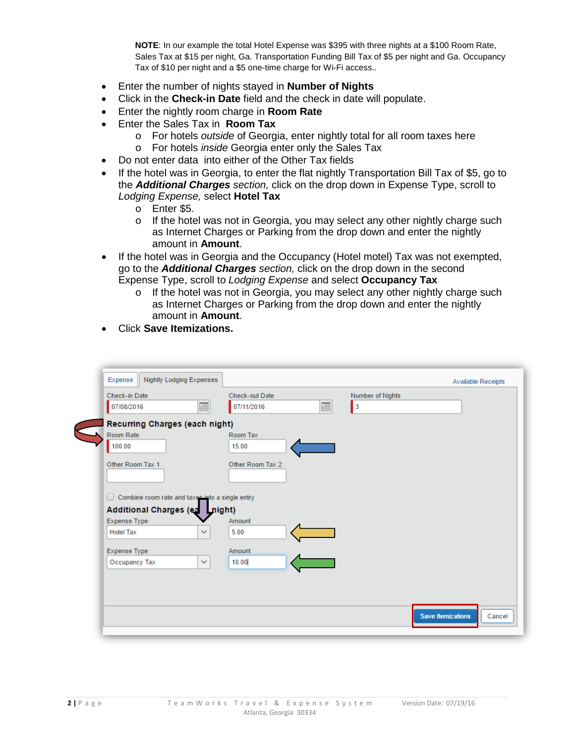**NOTE**: In our example the total Hotel Expense was \$395 with three nights at a \$100 Room Rate, Sales Tax at \$15 per night, Ga. Transportation Funding Bill Tax of \$5 per night and Ga. Occupancy Tax of \$10 per night and a \$5 one-time charge for Wi-Fi access..

- Enter the number of nights stayed in **Number of Nights**
- Click in the **Check-in Date** field and the check in date will populate.
- Enter the nightly room charge in **Room Rate**
- Enter the Sales Tax in **Room Tax**
	- o For hotels *outside* of Georgia, enter nightly total for all room taxes here
	- o For hotels *inside* Georgia enter only the Sales Tax
- Do not enter data into either of the Other Tax fields
- If the hotel was in Georgia, to enter the flat nightly Transportation Bill Tax of \$5, go to the *Additional Charges section,* click on the drop down in Expense Type, scroll to *Lodging Expense,* select **Hotel Tax**
	- o Enter \$5.<br>o If the hote
	- If the hotel was not in Georgia, you may select any other nightly charge such as Internet Charges or Parking from the drop down and enter the nightly amount in **Amount**.
- If the hotel was in Georgia and the Occupancy (Hotel motel) Tax was not exempted, go to the *Additional Charges section,* click on the drop down in the second Expense Type, scroll to *Lodging Expense* and select **Occupancy Tax**
	- $\circ$  If the hotel was not in Georgia, you may select any other nightly charge such as Internet Charges or Parking from the drop down and enter the nightly amount in **Amount**.
- Click **Save Itemizations.**

| Nightly Lodging Expenses<br>Expense                    |                                    | <b>Available Receipts</b>        |
|--------------------------------------------------------|------------------------------------|----------------------------------|
| Check-in Date<br>珊<br>07/08/2016                       | Check-out Date<br>æ,<br>07/11/2016 | Number of Nights<br>$\mathbf{I}$ |
| Recurring Charges (each night)                         |                                    |                                  |
| Room Rate<br>100.00                                    | Room Tax<br>15.00                  |                                  |
| Other Room Tax 1                                       | Other Room Tax 2                   |                                  |
| $\Box$ Combine room rate and taxes into a single entry |                                    |                                  |
| Additional Charges (ea night)                          |                                    |                                  |
| Expense Type                                           | Amount                             |                                  |
| <b>Hotel Tax</b><br>$\checkmark$                       | 5.00                               |                                  |
| Expense Type                                           | Amount                             |                                  |
| Occupancy Tax<br>$\checkmark$                          | 10.00                              |                                  |
|                                                        |                                    |                                  |
|                                                        |                                    |                                  |
|                                                        |                                    |                                  |
|                                                        |                                    |                                  |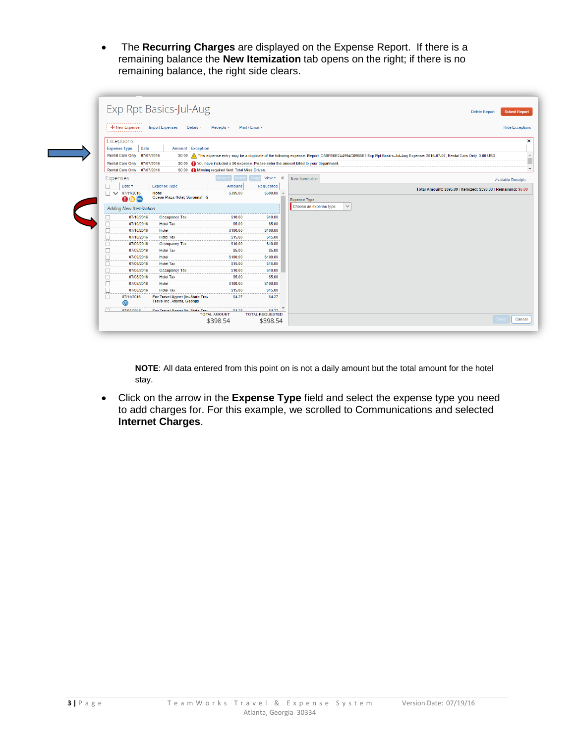• The **Recurring Charges** are displayed on the Expense Report. If there is a remaining balance the **New Itemization** tab opens on the right; if there is no remaining balance, the right side clears.

|                               | Exp Rpt Basics-Jul-Aug                                          |                    |                                    | <b>Delete Report</b>                                                                                                                                                | <b>Submit Report</b>      |
|-------------------------------|-----------------------------------------------------------------|--------------------|------------------------------------|---------------------------------------------------------------------------------------------------------------------------------------------------------------------|---------------------------|
| ,<br>+ New Expense            | <b>Import Expenses</b><br>Details v                             | Receipts <b>v</b>  | Print / Email v                    |                                                                                                                                                                     | <b>Hide Exceptions</b>    |
| Exceptions                    |                                                                 |                    |                                    |                                                                                                                                                                     |                           |
| Date<br><b>Expense Type</b>   | Amount Exception                                                |                    |                                    |                                                                                                                                                                     |                           |
| Rental Cars Only 07/07/2016   | <b>SO.00</b>                                                    |                    |                                    | This expense entry may be a duplicate of the following expense. Report: C5BFE6E2A4994C09B8E3 Exp Rpt Basics-Jul-Aug Expense: 2016-07-07, Rental Cars Only, 0.00 USD |                           |
| Rental Cars Only 07/07/2016   |                                                                 |                    |                                    | \$0.00 (D) You have included a \$0 expense. Please enter the amount billed to your department.                                                                      |                           |
| Rental Cars Only 07/07/2016   | \$0.00 Missing required field: Total Miles Driven               |                    |                                    |                                                                                                                                                                     |                           |
| Expenses                      |                                                                 | $ove \top$         | View $\sqrt{ }$ $\ll$              | New Itemization                                                                                                                                                     | <b>Available Receipts</b> |
| Date v                        | <b>Expense Type</b>                                             | <b>Amount</b>      | Requested                          |                                                                                                                                                                     |                           |
| $\Box$ $\vee$<br>07/11/2016   | <b>Hotel</b>                                                    | \$395.00           | \$390.00                           | Total Amount: \$395.00   Itemized: \$390.00   Remaining: \$5.00                                                                                                     |                           |
| 00C                           | Ocean Plaza Hotel, Savannah, G                                  |                    |                                    | <b>Expense Type</b>                                                                                                                                                 |                           |
| <b>Adding New Itemization</b> |                                                                 |                    |                                    | $\checkmark$<br>Choose an expense type                                                                                                                              |                           |
| 07/10/2016                    | Occupancy Tax                                                   | \$10.00            | \$10.00                            |                                                                                                                                                                     |                           |
| 07/10/2016<br>□               | <b>Hotel Tax</b>                                                | \$5.00             | \$5.00                             |                                                                                                                                                                     |                           |
| 07/10/2016<br>□               | Hotel                                                           | S100.00            | \$100.00                           |                                                                                                                                                                     |                           |
| 07/10/2016                    | <b>Hotel Tax</b>                                                | S <sub>15.00</sub> | \$15.00                            |                                                                                                                                                                     |                           |
| 07/09/2016                    | <b>Occupancy Tax</b>                                            | \$10.00            | \$10.00                            |                                                                                                                                                                     |                           |
| 07/09/2016                    | <b>Hotel Tax</b>                                                | \$5.00             | \$5.00                             |                                                                                                                                                                     |                           |
| 07/09/2016<br>□               | Hotel                                                           | \$100.00           | \$100.00                           |                                                                                                                                                                     |                           |
| 07/09/2016                    | <b>Hotel Tax</b>                                                | \$15.00            | \$15.00<br>\$10.00                 |                                                                                                                                                                     |                           |
| 07/08/2016<br>о<br>07/08/2016 | <b>Occupancy Tax</b><br><b>Hotel Tax</b>                        | S10.00<br>\$5.00   | <b>S5.00</b>                       |                                                                                                                                                                     |                           |
| □<br>07/08/2016<br>□          | Hotel                                                           | \$100.00           | \$100.00                           |                                                                                                                                                                     |                           |
| П<br>07/08/2016               | <b>Hotel Tax</b>                                                | \$15.00            | \$15.00                            |                                                                                                                                                                     |                           |
| $\Box$<br>07/11/2016<br>œ     | For Travel Agent (In-State Trav<br>Travel Inc, Atlanta, Georgia | <b>S4.27</b>       | \$4.27                             |                                                                                                                                                                     |                           |
| $\Box$<br>07/08/2016          | For Travel Anent (In State Trav                                 | \$4.27             | $S$ <sub>4.77</sub> $\overline{S}$ |                                                                                                                                                                     |                           |

**NOTE**: All data entered from this point on is not a daily amount but the total amount for the hotel stay.

• Click on the arrow in the **Expense Type** field and select the expense type you need to add charges for. For this example, we scrolled to Communications and selected **Internet Charges**.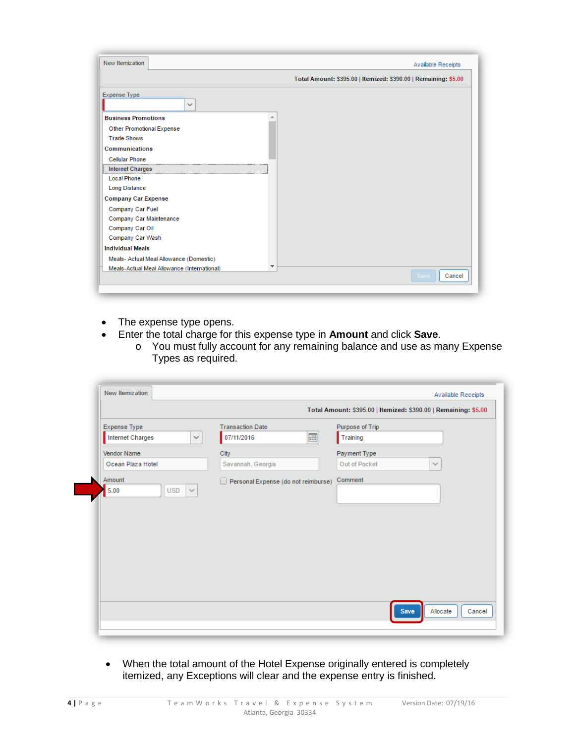| New Itemization                             | <b>Available Receipts</b>                                       |
|---------------------------------------------|-----------------------------------------------------------------|
|                                             | Total Amount: \$395.00   Itemized: \$390.00   Remaining: \$5.00 |
| Expense Type<br>$\checkmark$                |                                                                 |
| <b>Business Promotions</b>                  |                                                                 |
| Other Promotional Expense                   |                                                                 |
| <b>Trade Shows</b>                          |                                                                 |
| <b>Communications</b>                       |                                                                 |
| <b>Cellular Phone</b>                       |                                                                 |
| <b>Internet Charges</b>                     |                                                                 |
| <b>Local Phone</b>                          |                                                                 |
| <b>Long Distance</b>                        |                                                                 |
| <b>Company Car Expense</b>                  |                                                                 |
| Company Car Fuel                            |                                                                 |
| Company Car Maintenance                     |                                                                 |
| Company Car Oil                             |                                                                 |
| Company Car Wash                            |                                                                 |
| <b>Individual Meals</b>                     |                                                                 |
| Meals- Actual Meal Allowance (Domestic)     |                                                                 |
| Meals-Actual Meal Allowance (International) | ▼<br>Cancel<br><b>Save</b>                                      |
|                                             |                                                                 |

- The expense type opens.
	- Enter the total charge for this expense type in **Amount** and click **Save**.
		- o You must fully account for any remaining balance and use as many Expense Types as required.

|                           |                                     | Total Amount: \$395.00   Itemized: \$390.00   Remaining: \$5.00 |        |  |
|---------------------------|-------------------------------------|-----------------------------------------------------------------|--------|--|
| Expense Type              | <b>Transaction Date</b>             | Purpose of Trip                                                 |        |  |
| <b>Internet Charges</b>   | 珊<br>07/11/2016<br>v                | Training                                                        |        |  |
| Vendor Name               | City                                | Payment Type                                                    |        |  |
| Ocean Plaza Hotel         | Savannah, Georgia                   | Out of Pocket                                                   | $\sim$ |  |
| Amount                    | Personal Expense (do not reimburse) | Comment                                                         |        |  |
| 5.00<br>$USD \rightarrow$ |                                     |                                                                 |        |  |
|                           |                                     |                                                                 |        |  |
|                           |                                     |                                                                 |        |  |
|                           |                                     |                                                                 |        |  |
|                           |                                     |                                                                 |        |  |
|                           |                                     |                                                                 |        |  |
|                           |                                     |                                                                 |        |  |
|                           |                                     |                                                                 |        |  |
|                           |                                     |                                                                 |        |  |

• When the total amount of the Hotel Expense originally entered is completely itemized, any Exceptions will clear and the expense entry is finished.